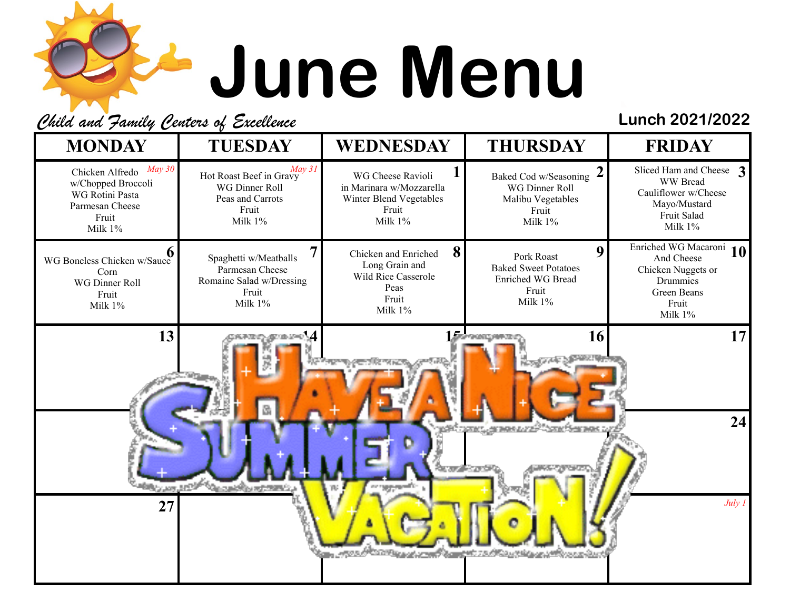## **June Menu**

Child and Family Centers of Excellence **Lunch 2021/2022**

| $May\,30$<br>May 31<br>Sliced Ham and Cheese 3<br>Chicken Alfredo<br>Baked Cod w/Seasoning 2<br>WG Cheese Ravioli<br>Hot Roast Beef in Gravy<br>WW Bread<br>w/Chopped Broccoli<br>WG Dinner Roll<br>in Marinara w/Mozzarella<br>WG Dinner Roll<br>Cauliflower w/Cheese<br>WG Rotini Pasta<br>Peas and Carrots<br>Winter Blend Vegetables<br>Malibu Vegetables<br>Mayo/Mustard<br>Parmesan Cheese<br>Fruit<br>Fruit<br>Fruit<br>Fruit Salad<br>Fruit<br>Milk 1%<br>Milk 1%<br>Milk 1%<br>Milk 1%<br>Milk 1%<br>Enriched WG Macaroni<br>10<br>8<br>9<br>Chicken and Enriched<br>Pork Roast<br>Spaghetti w/Meatballs<br>And Cheese<br>WG Boneless Chicken w/Sauce<br>Long Grain and<br><b>Baked Sweet Potatoes</b><br>Chicken Nuggets or<br>Parmesan Cheese<br>Corn<br>Wild Rice Casserole<br>Enriched WG Bread<br>Romaine Salad w/Dressing<br>Drummies<br>WG Dinner Roll<br>Peas<br>Fruit<br>Green Beans<br>Fruit<br>Fruit<br>Fruit<br>Milk 1%<br>Milk 1%<br>Fruit<br>Milk 1%<br>Milk 1%<br>Milk 1%<br>13<br>16<br><b>Louis Group Committee</b><br><b>Temporat Mexica</b><br><sup>മ</sup> ത്തുന്നു കൂടുത്തില് തുടങ്ങും<br>ß,<br>24<br><u>xan jiraasu xi<sup>st</sup>tan tsa</u> as<br>company works<br><b>BRACK AND ARRAY</b><br>July 1<br>27 | <b>MONDAY</b> | <b>TUESDAY</b> | <b>WEDNESDAY</b> | <b>THURSDAY</b> | <b>FRIDAY</b> |
|---------------------------------------------------------------------------------------------------------------------------------------------------------------------------------------------------------------------------------------------------------------------------------------------------------------------------------------------------------------------------------------------------------------------------------------------------------------------------------------------------------------------------------------------------------------------------------------------------------------------------------------------------------------------------------------------------------------------------------------------------------------------------------------------------------------------------------------------------------------------------------------------------------------------------------------------------------------------------------------------------------------------------------------------------------------------------------------------------------------------------------------------------------------------------------------------------------------------------------------------|---------------|----------------|------------------|-----------------|---------------|
|                                                                                                                                                                                                                                                                                                                                                                                                                                                                                                                                                                                                                                                                                                                                                                                                                                                                                                                                                                                                                                                                                                                                                                                                                                             |               |                |                  |                 |               |
|                                                                                                                                                                                                                                                                                                                                                                                                                                                                                                                                                                                                                                                                                                                                                                                                                                                                                                                                                                                                                                                                                                                                                                                                                                             |               |                |                  |                 |               |
|                                                                                                                                                                                                                                                                                                                                                                                                                                                                                                                                                                                                                                                                                                                                                                                                                                                                                                                                                                                                                                                                                                                                                                                                                                             |               |                |                  |                 | 17            |